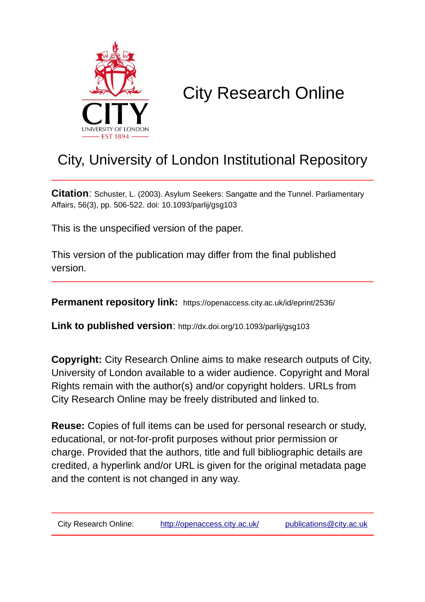

# City Research Online

## City, University of London Institutional Repository

**Citation**: Schuster, L. (2003). Asylum Seekers: Sangatte and the Tunnel. Parliamentary Affairs, 56(3), pp. 506-522. doi: 10.1093/parlij/gsg103

This is the unspecified version of the paper.

This version of the publication may differ from the final published version.

**Permanent repository link:** https://openaccess.city.ac.uk/id/eprint/2536/

**Link to published version**: http://dx.doi.org/10.1093/parlij/gsg103

**Copyright:** City Research Online aims to make research outputs of City, University of London available to a wider audience. Copyright and Moral Rights remain with the author(s) and/or copyright holders. URLs from City Research Online may be freely distributed and linked to.

**Reuse:** Copies of full items can be used for personal research or study, educational, or not-for-profit purposes without prior permission or charge. Provided that the authors, title and full bibliographic details are credited, a hyperlink and/or URL is given for the original metadata page and the content is not changed in any way.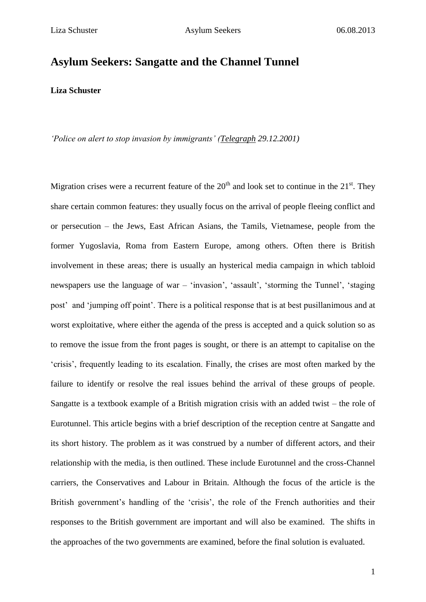### **Asylum Seekers: Sangatte and the Channel Tunnel**

**Liza Schuster**

*'Police on alert to stop invasion by immigrants' (Telegraph 29.12.2001)*

Migration crises were a recurrent feature of the  $20<sup>th</sup>$  and look set to continue in the  $21<sup>st</sup>$ . They share certain common features: they usually focus on the arrival of people fleeing conflict and or persecution – the Jews, East African Asians, the Tamils, Vietnamese, people from the former Yugoslavia, Roma from Eastern Europe, among others. Often there is British involvement in these areas; there is usually an hysterical media campaign in which tabloid newspapers use the language of war – 'invasion', 'assault', 'storming the Tunnel', 'staging post' and 'jumping off point'. There is a political response that is at best pusillanimous and at worst exploitative, where either the agenda of the press is accepted and a quick solution so as to remove the issue from the front pages is sought, or there is an attempt to capitalise on the 'crisis', frequently leading to its escalation. Finally, the crises are most often marked by the failure to identify or resolve the real issues behind the arrival of these groups of people. Sangatte is a textbook example of a British migration crisis with an added twist – the role of Eurotunnel. This article begins with a brief description of the reception centre at Sangatte and its short history. The problem as it was construed by a number of different actors, and their relationship with the media, is then outlined. These include Eurotunnel and the cross-Channel carriers, the Conservatives and Labour in Britain. Although the focus of the article is the British government's handling of the 'crisis', the role of the French authorities and their responses to the British government are important and will also be examined. The shifts in the approaches of the two governments are examined, before the final solution is evaluated.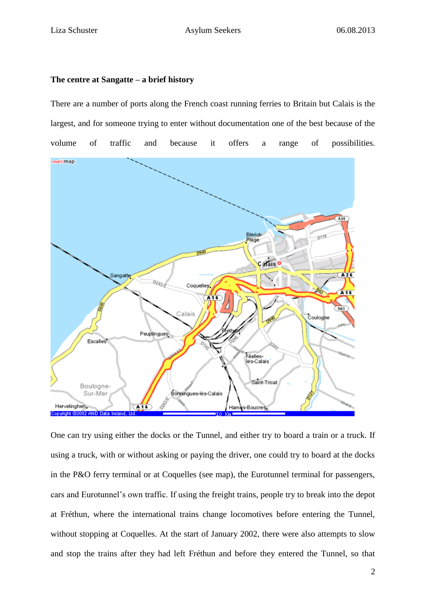#### **The centre at Sangatte – a brief history**

### There are a number of ports along the French coast running ferries to Britain but Calais is the largest, and for someone trying to enter without documentation one of the best because of the volume of traffic and because it offers a range of possibilities.



One can try using either the docks or the Tunnel, and either try to board a train or a truck. If using a truck, with or without asking or paying the driver, one could try to board at the docks in the P&O ferry terminal or at Coquelles (see map), the Eurotunnel terminal for passengers, cars and Eurotunnel's own traffic. If using the freight trains, people try to break into the depot at Fréthun, where the international trains change locomotives before entering the Tunnel, without stopping at Coquelles. At the start of January 2002, there were also attempts to slow and stop the trains after they had left Fréthun and before they entered the Tunnel, so that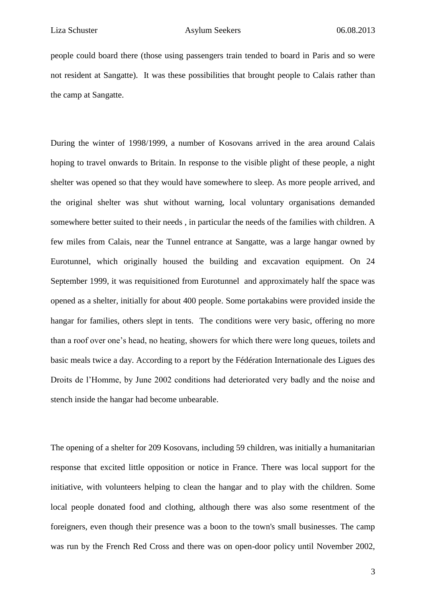people could board there (those using passengers train tended to board in Paris and so were not resident at Sangatte). It was these possibilities that brought people to Calais rather than the camp at Sangatte.

During the winter of 1998/1999, a number of Kosovans arrived in the area around Calais hoping to travel onwards to Britain. In response to the visible plight of these people, a night shelter was opened so that they would have somewhere to sleep. As more people arrived, and the original shelter was shut without warning, local voluntary organisations demanded somewhere better suited to their needs , in particular the needs of the families with children. A few miles from Calais, near the Tunnel entrance at Sangatte, was a large hangar owned by Eurotunnel, which originally housed the building and excavation equipment. On 24 September 1999, it was requisitioned from Eurotunnel and approximately half the space was opened as a shelter, initially for about 400 people. Some portakabins were provided inside the hangar for families, others slept in tents. The conditions were very basic, offering no more than a roof over one's head, no heating, showers for which there were long queues, toilets and basic meals twice a day. According to a report by the Fédération Internationale des Ligues des Droits de l'Homme, by June 2002 conditions had deteriorated very badly and the noise and stench inside the hangar had become unbearable.

The opening of a shelter for 209 Kosovans, including 59 children, was initially a humanitarian response that excited little opposition or notice in France. There was local support for the initiative, with volunteers helping to clean the hangar and to play with the children. Some local people donated food and clothing, although there was also some resentment of the foreigners, even though their presence was a boon to the town's small businesses. The camp was run by the French Red Cross and there was on open-door policy until November 2002,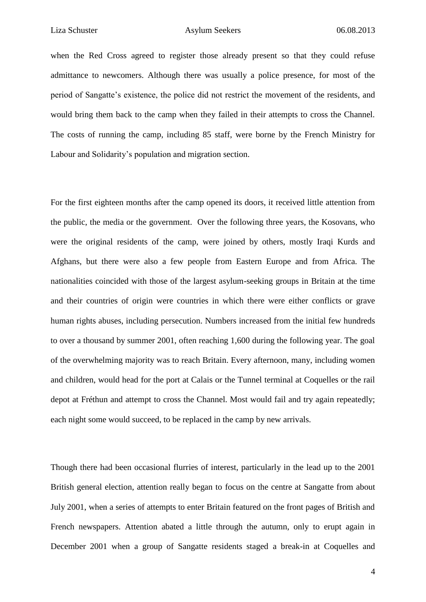when the Red Cross agreed to register those already present so that they could refuse admittance to newcomers. Although there was usually a police presence, for most of the period of Sangatte's existence, the police did not restrict the movement of the residents, and would bring them back to the camp when they failed in their attempts to cross the Channel. The costs of running the camp, including 85 staff, were borne by the French Ministry for Labour and Solidarity's population and migration section.

For the first eighteen months after the camp opened its doors, it received little attention from the public, the media or the government. Over the following three years, the Kosovans, who were the original residents of the camp, were joined by others, mostly Iraqi Kurds and Afghans, but there were also a few people from Eastern Europe and from Africa. The nationalities coincided with those of the largest asylum-seeking groups in Britain at the time and their countries of origin were countries in which there were either conflicts or grave human rights abuses, including persecution. Numbers increased from the initial few hundreds to over a thousand by summer 2001, often reaching 1,600 during the following year. The goal of the overwhelming majority was to reach Britain. Every afternoon, many, including women and children, would head for the port at Calais or the Tunnel terminal at Coquelles or the rail depot at Fréthun and attempt to cross the Channel. Most would fail and try again repeatedly; each night some would succeed, to be replaced in the camp by new arrivals.

Though there had been occasional flurries of interest, particularly in the lead up to the 2001 British general election, attention really began to focus on the centre at Sangatte from about July 2001, when a series of attempts to enter Britain featured on the front pages of British and French newspapers. Attention abated a little through the autumn, only to erupt again in December 2001 when a group of Sangatte residents staged a break-in at Coquelles and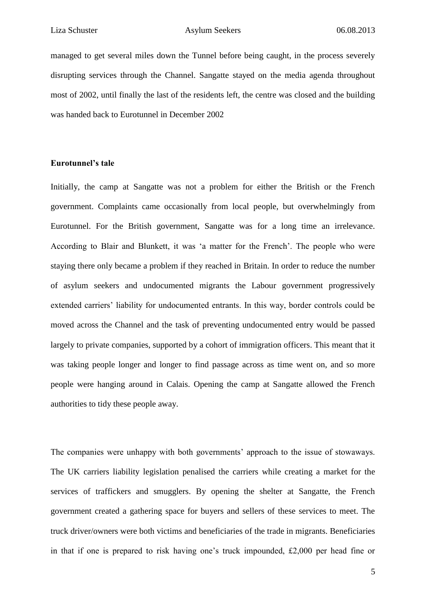managed to get several miles down the Tunnel before being caught, in the process severely disrupting services through the Channel. Sangatte stayed on the media agenda throughout most of 2002, until finally the last of the residents left, the centre was closed and the building was handed back to Eurotunnel in December 2002

#### **Eurotunnel's tale**

Initially, the camp at Sangatte was not a problem for either the British or the French government. Complaints came occasionally from local people, but overwhelmingly from Eurotunnel. For the British government, Sangatte was for a long time an irrelevance. According to Blair and Blunkett, it was 'a matter for the French'. The people who were staying there only became a problem if they reached in Britain. In order to reduce the number of asylum seekers and undocumented migrants the Labour government progressively extended carriers' liability for undocumented entrants. In this way, border controls could be moved across the Channel and the task of preventing undocumented entry would be passed largely to private companies, supported by a cohort of immigration officers. This meant that it was taking people longer and longer to find passage across as time went on, and so more people were hanging around in Calais. Opening the camp at Sangatte allowed the French authorities to tidy these people away.

The companies were unhappy with both governments' approach to the issue of stowaways. The UK carriers liability legislation penalised the carriers while creating a market for the services of traffickers and smugglers. By opening the shelter at Sangatte, the French government created a gathering space for buyers and sellers of these services to meet. The truck driver/owners were both victims and beneficiaries of the trade in migrants. Beneficiaries in that if one is prepared to risk having one's truck impounded, £2,000 per head fine or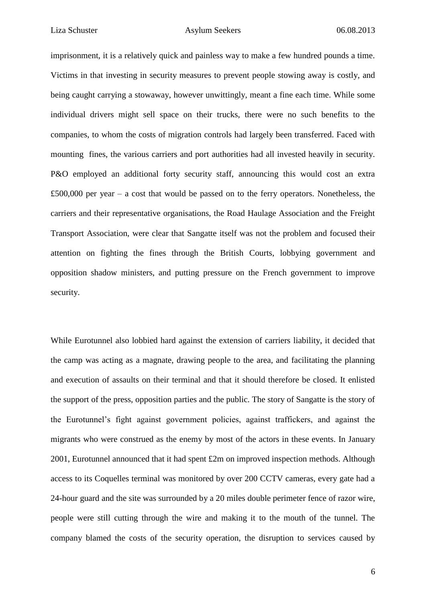imprisonment, it is a relatively quick and painless way to make a few hundred pounds a time. Victims in that investing in security measures to prevent people stowing away is costly, and being caught carrying a stowaway, however unwittingly, meant a fine each time. While some individual drivers might sell space on their trucks, there were no such benefits to the companies, to whom the costs of migration controls had largely been transferred. Faced with mounting fines, the various carriers and port authorities had all invested heavily in security. P&O employed an additional forty security staff, announcing this would cost an extra £500,000 per year – a cost that would be passed on to the ferry operators. Nonetheless, the carriers and their representative organisations, the Road Haulage Association and the Freight Transport Association, were clear that Sangatte itself was not the problem and focused their attention on fighting the fines through the British Courts, lobbying government and opposition shadow ministers, and putting pressure on the French government to improve security.

While Eurotunnel also lobbied hard against the extension of carriers liability, it decided that the camp was acting as a magnate, drawing people to the area, and facilitating the planning and execution of assaults on their terminal and that it should therefore be closed. It enlisted the support of the press, opposition parties and the public. The story of Sangatte is the story of the Eurotunnel's fight against government policies, against traffickers, and against the migrants who were construed as the enemy by most of the actors in these events. In January 2001, Eurotunnel announced that it had spent £2m on improved inspection methods. Although access to its Coquelles terminal was monitored by over 200 CCTV cameras, every gate had a 24-hour guard and the site was surrounded by a 20 miles double perimeter fence of razor wire, people were still cutting through the wire and making it to the mouth of the tunnel. The company blamed the costs of the security operation, the disruption to services caused by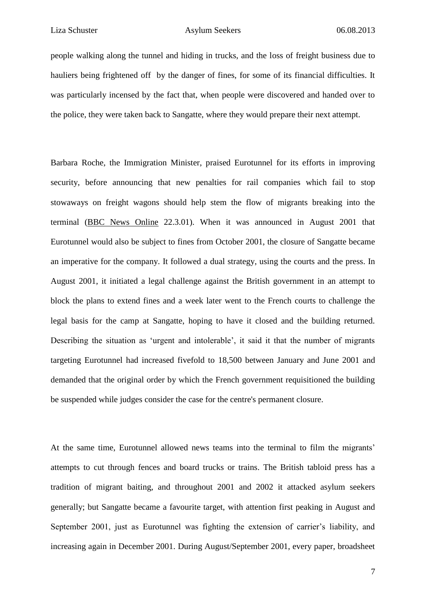people walking along the tunnel and hiding in trucks, and the loss of freight business due to hauliers being frightened off by the danger of fines, for some of its financial difficulties. It was particularly incensed by the fact that, when people were discovered and handed over to the police, they were taken back to Sangatte, where they would prepare their next attempt.

Barbara Roche, the Immigration Minister, praised Eurotunnel for its efforts in improving security, before announcing that new penalties for rail companies which fail to stop stowaways on freight wagons should help stem the flow of migrants breaking into the terminal (BBC News Online 22.3.01). When it was announced in August 2001 that Eurotunnel would also be subject to fines from October 2001, the closure of Sangatte became an imperative for the company. It followed a dual strategy, using the courts and the press. In August 2001, it initiated a legal challenge against the British government in an attempt to block the plans to extend fines and a week later went to the French courts to challenge the legal basis for the camp at Sangatte, hoping to have it closed and the building returned. Describing the situation as 'urgent and intolerable', it said it that the number of migrants targeting Eurotunnel had increased fivefold to 18,500 between January and June 2001 and demanded that the original order by which the French government requisitioned the building be suspended while judges consider the case for the centre's permanent closure.

At the same time, Eurotunnel allowed news teams into the terminal to film the migrants' attempts to cut through fences and board trucks or trains. The British tabloid press has a tradition of migrant baiting, and throughout 2001 and 2002 it attacked asylum seekers generally; but Sangatte became a favourite target, with attention first peaking in August and September 2001, just as Eurotunnel was fighting the extension of carrier's liability, and increasing again in December 2001. During August/September 2001, every paper, broadsheet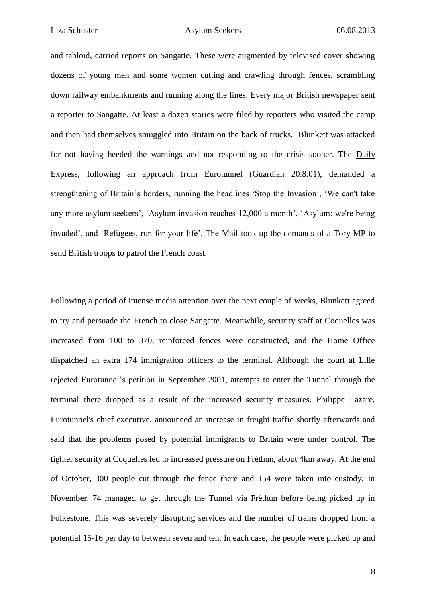and tabloid, carried reports on Sangatte. These were augmented by televised cover showing dozens of young men and some women cutting and crawling through fences, scrambling down railway embankments and running along the lines. Every major British newspaper sent a reporter to Sangatte. At least a dozen stories were filed by reporters who visited the camp and then had themselves smuggled into Britain on the back of trucks. Blunkett was attacked for not having heeded the warnings and not responding to the crisis sooner. The Daily Express, following an approach from Eurotunnel (Guardian 20.8.01), demanded a strengthening of Britain's borders, running the headlines 'Stop the Invasion', 'We can't take any more asylum seekers', 'Asylum invasion reaches 12,000 a month', 'Asylum: we're being invaded', and 'Refugees, run for your life'. The Mail took up the demands of a Tory MP to send British troops to patrol the French coast.

Following a period of intense media attention over the next couple of weeks, Blunkett agreed to try and persuade the French to close Sangatte. Meanwhile, security staff at Coquelles was increased from 100 to 370, reinforced fences were constructed, and the Home Office dispatched an extra 174 immigration officers to the terminal. Although the court at Lille rejected Eurotunnel's petition in September 2001, attempts to enter the Tunnel through the terminal there dropped as a result of the increased security measures. Philippe Lazare, Eurotunnel's chief executive, announced an increase in freight traffic shortly afterwards and said that the problems posed by potential immigrants to Britain were under control. The tighter security at Coquelles led to increased pressure on Fréthun, about 4km away. At the end of October, 300 people cut through the fence there and 154 were taken into custody. In November, 74 managed to get through the Tunnel via Fréthun before being picked up in Folkestone. This was severely disrupting services and the number of trains dropped from a potential 15-16 per day to between seven and ten. In each case, the people were picked up and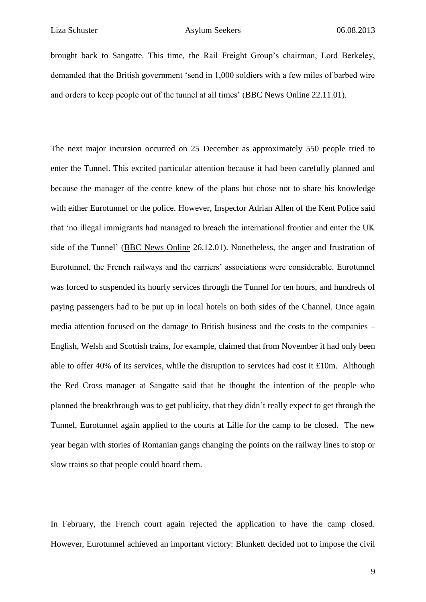brought back to Sangatte. This time, the Rail Freight Group's chairman, Lord Berkeley, demanded that the British government 'send in 1,000 soldiers with a few miles of barbed wire and orders to keep people out of the tunnel at all times' (BBC News Online 22.11.01).

The next major incursion occurred on 25 December as approximately 550 people tried to enter the Tunnel. This excited particular attention because it had been carefully planned and because the manager of the centre knew of the plans but chose not to share his knowledge with either Eurotunnel or the police. However, Inspector Adrian Allen of the Kent Police said that 'no illegal immigrants had managed to breach the international frontier and enter the UK side of the Tunnel' (BBC News Online 26.12.01). Nonetheless, the anger and frustration of Eurotunnel, the French railways and the carriers' associations were considerable. Eurotunnel was forced to suspended its hourly services through the Tunnel for ten hours, and hundreds of paying passengers had to be put up in local hotels on both sides of the Channel. Once again media attention focused on the damage to British business and the costs to the companies – English, Welsh and Scottish trains, for example, claimed that from November it had only been able to offer 40% of its services, while the disruption to services had cost it £10m. Although the Red Cross manager at Sangatte said that he thought the intention of the people who planned the breakthrough was to get publicity, that they didn't really expect to get through the Tunnel, Eurotunnel again applied to the courts at Lille for the camp to be closed. The new year began with stories of Romanian gangs changing the points on the railway lines to stop or slow trains so that people could board them.

In February, the French court again rejected the application to have the camp closed. However, Eurotunnel achieved an important victory: Blunkett decided not to impose the civil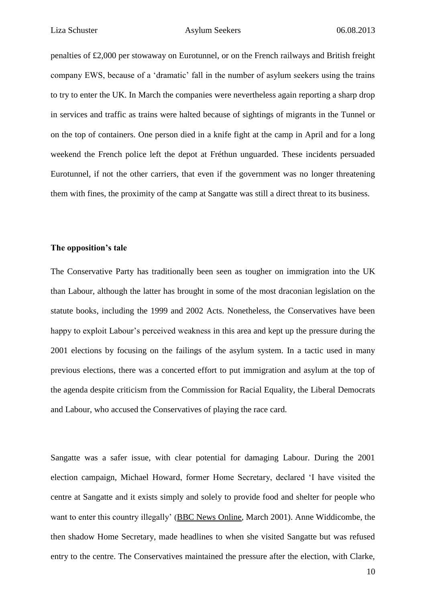penalties of £2,000 per stowaway on Eurotunnel, or on the French railways and British freight company EWS, because of a 'dramatic' fall in the number of asylum seekers using the trains to try to enter the UK. In March the companies were nevertheless again reporting a sharp drop in services and traffic as trains were halted because of sightings of migrants in the Tunnel or on the top of containers. One person died in a knife fight at the camp in April and for a long weekend the French police left the depot at Fréthun unguarded. These incidents persuaded Eurotunnel, if not the other carriers, that even if the government was no longer threatening them with fines, the proximity of the camp at Sangatte was still a direct threat to its business.

#### **The opposition's tale**

The Conservative Party has traditionally been seen as tougher on immigration into the UK than Labour, although the latter has brought in some of the most draconian legislation on the statute books, including the 1999 and 2002 Acts. Nonetheless, the Conservatives have been happy to exploit Labour's perceived weakness in this area and kept up the pressure during the 2001 elections by focusing on the failings of the asylum system. In a tactic used in many previous elections, there was a concerted effort to put immigration and asylum at the top of the agenda despite criticism from the Commission for Racial Equality, the Liberal Democrats and Labour, who accused the Conservatives of playing the race card.

Sangatte was a safer issue, with clear potential for damaging Labour. During the 2001 election campaign, Michael Howard, former Home Secretary, declared 'I have visited the centre at Sangatte and it exists simply and solely to provide food and shelter for people who want to enter this country illegally' (BBC News Online, March 2001). Anne Widdicombe, the then shadow Home Secretary, made headlines to when she visited Sangatte but was refused entry to the centre. The Conservatives maintained the pressure after the election, with Clarke,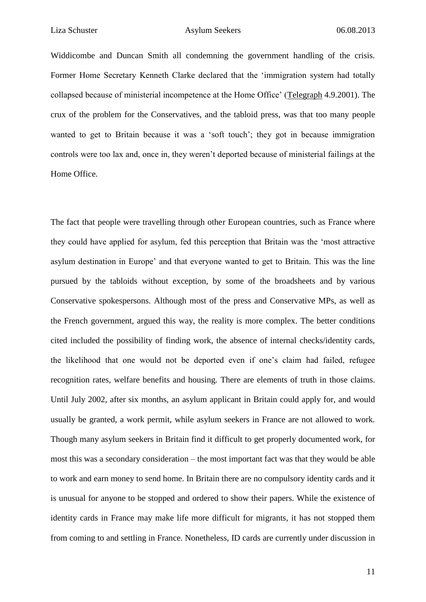Widdicombe and Duncan Smith all condemning the government handling of the crisis. Former Home Secretary Kenneth Clarke declared that the 'immigration system had totally collapsed because of ministerial incompetence at the Home Office' (Telegraph 4.9.2001). The crux of the problem for the Conservatives, and the tabloid press, was that too many people wanted to get to Britain because it was a 'soft touch'; they got in because immigration controls were too lax and, once in, they weren't deported because of ministerial failings at the Home Office.

The fact that people were travelling through other European countries, such as France where they could have applied for asylum, fed this perception that Britain was the 'most attractive asylum destination in Europe' and that everyone wanted to get to Britain. This was the line pursued by the tabloids without exception, by some of the broadsheets and by various Conservative spokespersons. Although most of the press and Conservative MPs, as well as the French government, argued this way, the reality is more complex. The better conditions cited included the possibility of finding work, the absence of internal checks/identity cards, the likelihood that one would not be deported even if one's claim had failed, refugee recognition rates, welfare benefits and housing. There are elements of truth in those claims. Until July 2002, after six months, an asylum applicant in Britain could apply for, and would usually be granted, a work permit, while asylum seekers in France are not allowed to work. Though many asylum seekers in Britain find it difficult to get properly documented work, for most this was a secondary consideration – the most important fact was that they would be able to work and earn money to send home. In Britain there are no compulsory identity cards and it is unusual for anyone to be stopped and ordered to show their papers. While the existence of identity cards in France may make life more difficult for migrants, it has not stopped them from coming to and settling in France. Nonetheless, ID cards are currently under discussion in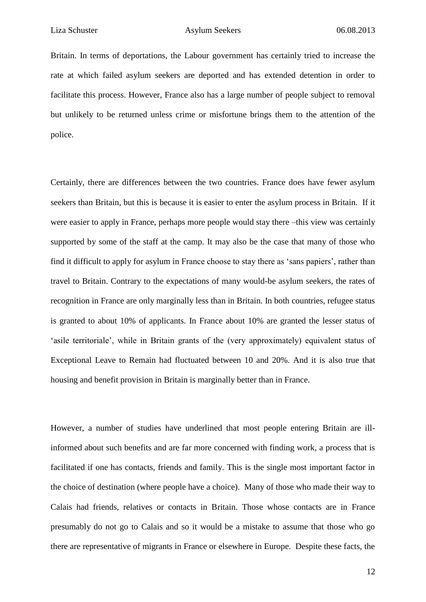Britain. In terms of deportations, the Labour government has certainly tried to increase the rate at which failed asylum seekers are deported and has extended detention in order to facilitate this process. However, France also has a large number of people subject to removal but unlikely to be returned unless crime or misfortune brings them to the attention of the police.

Certainly, there are differences between the two countries. France does have fewer asylum seekers than Britain, but this is because it is easier to enter the asylum process in Britain. If it were easier to apply in France, perhaps more people would stay there –this view was certainly supported by some of the staff at the camp. It may also be the case that many of those who find it difficult to apply for asylum in France choose to stay there as 'sans papiers', rather than travel to Britain. Contrary to the expectations of many would-be asylum seekers, the rates of recognition in France are only marginally less than in Britain. In both countries, refugee status is granted to about 10% of applicants. In France about 10% are granted the lesser status of 'asile territoriale', while in Britain grants of the (very approximately) equivalent status of Exceptional Leave to Remain had fluctuated between 10 and 20%. And it is also true that housing and benefit provision in Britain is marginally better than in France.

However, a number of studies have underlined that most people entering Britain are illinformed about such benefits and are far more concerned with finding work, a process that is facilitated if one has contacts, friends and family. This is the single most important factor in the choice of destination (where people have a choice). Many of those who made their way to Calais had friends, relatives or contacts in Britain. Those whose contacts are in France presumably do not go to Calais and so it would be a mistake to assume that those who go there are representative of migrants in France or elsewhere in Europe. Despite these facts, the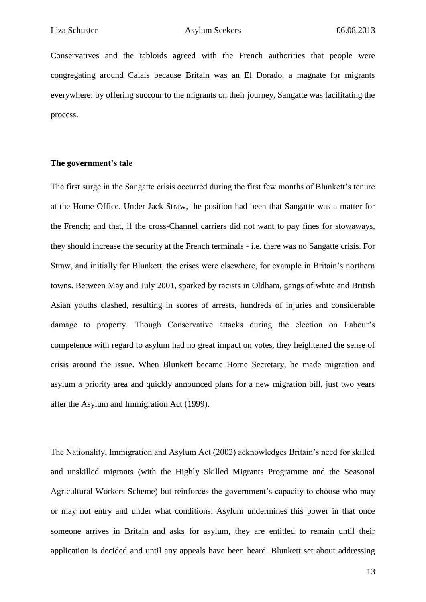Conservatives and the tabloids agreed with the French authorities that people were congregating around Calais because Britain was an El Dorado, a magnate for migrants everywhere: by offering succour to the migrants on their journey, Sangatte was facilitating the process.

#### **The government's tale**

The first surge in the Sangatte crisis occurred during the first few months of Blunkett's tenure at the Home Office. Under Jack Straw, the position had been that Sangatte was a matter for the French; and that, if the cross-Channel carriers did not want to pay fines for stowaways, they should increase the security at the French terminals - i.e. there was no Sangatte crisis. For Straw, and initially for Blunkett, the crises were elsewhere, for example in Britain's northern towns. Between May and July 2001, sparked by racists in Oldham, gangs of white and British Asian youths clashed, resulting in scores of arrests, hundreds of injuries and considerable damage to property. Though Conservative attacks during the election on Labour's competence with regard to asylum had no great impact on votes, they heightened the sense of crisis around the issue. When Blunkett became Home Secretary, he made migration and asylum a priority area and quickly announced plans for a new migration bill, just two years after the Asylum and Immigration Act (1999).

The Nationality, Immigration and Asylum Act (2002) acknowledges Britain's need for skilled and unskilled migrants (with the Highly Skilled Migrants Programme and the Seasonal Agricultural Workers Scheme) but reinforces the government's capacity to choose who may or may not entry and under what conditions. Asylum undermines this power in that once someone arrives in Britain and asks for asylum, they are entitled to remain until their application is decided and until any appeals have been heard. Blunkett set about addressing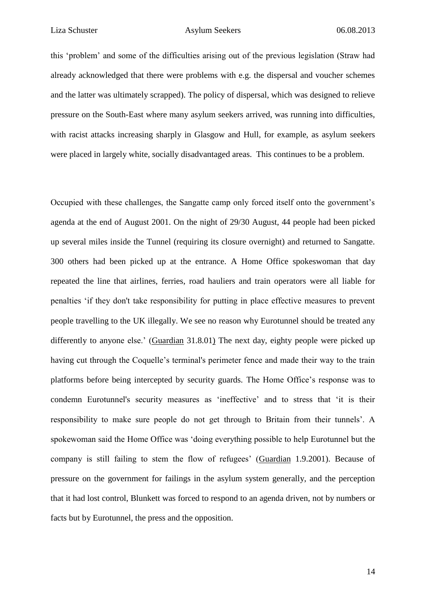this 'problem' and some of the difficulties arising out of the previous legislation (Straw had already acknowledged that there were problems with e.g. the dispersal and voucher schemes and the latter was ultimately scrapped). The policy of dispersal, which was designed to relieve pressure on the South-East where many asylum seekers arrived, was running into difficulties, with racist attacks increasing sharply in Glasgow and Hull, for example, as asylum seekers were placed in largely white, socially disadvantaged areas. This continues to be a problem.

Occupied with these challenges, the Sangatte camp only forced itself onto the government's agenda at the end of August 2001. On the night of 29/30 August, 44 people had been picked up several miles inside the Tunnel (requiring its closure overnight) and returned to Sangatte. 300 others had been picked up at the entrance. A Home Office spokeswoman that day repeated the line that airlines, ferries, road hauliers and train operators were all liable for penalties 'if they don't take responsibility for putting in place effective measures to prevent people travelling to the UK illegally. We see no reason why Eurotunnel should be treated any differently to anyone else.' (Guardian 31.8.01) The next day, eighty people were picked up having cut through the Coquelle's terminal's perimeter fence and made their way to the train platforms before being intercepted by security guards. The Home Office's response was to condemn Eurotunnel's security measures as 'ineffective' and to stress that 'it is their responsibility to make sure people do not get through to Britain from their tunnels'. A spokewoman said the Home Office was 'doing everything possible to help Eurotunnel but the company is still failing to stem the flow of refugees' (Guardian 1.9.2001). Because of pressure on the government for failings in the asylum system generally, and the perception that it had lost control, Blunkett was forced to respond to an agenda driven, not by numbers or facts but by Eurotunnel, the press and the opposition.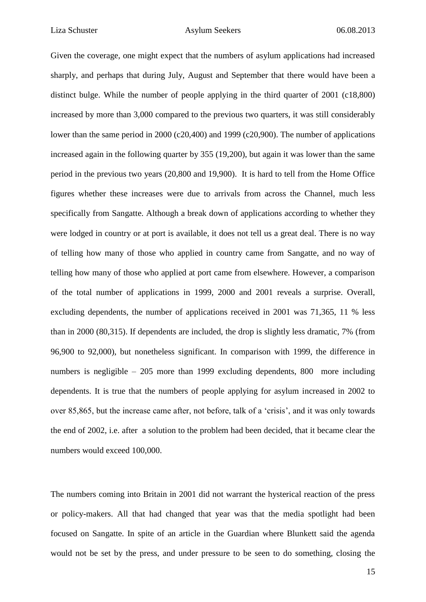Given the coverage, one might expect that the numbers of asylum applications had increased sharply, and perhaps that during July, August and September that there would have been a distinct bulge. While the number of people applying in the third quarter of 2001 (c18,800) increased by more than 3,000 compared to the previous two quarters, it was still considerably lower than the same period in 2000 (c20,400) and 1999 (c20,900). The number of applications increased again in the following quarter by 355 (19,200), but again it was lower than the same period in the previous two years (20,800 and 19,900). It is hard to tell from the Home Office figures whether these increases were due to arrivals from across the Channel, much less specifically from Sangatte. Although a break down of applications according to whether they were lodged in country or at port is available, it does not tell us a great deal. There is no way of telling how many of those who applied in country came from Sangatte, and no way of telling how many of those who applied at port came from elsewhere. However, a comparison of the total number of applications in 1999, 2000 and 2001 reveals a surprise. Overall, excluding dependents, the number of applications received in 2001 was 71,365, 11 % less than in 2000 (80,315). If dependents are included, the drop is slightly less dramatic, 7% (from 96,900 to 92,000), but nonetheless significant. In comparison with 1999, the difference in numbers is negligible – 205 more than 1999 excluding dependents, 800 more including dependents. It is true that the numbers of people applying for asylum increased in 2002 to over 85,865, but the increase came after, not before, talk of a 'crisis', and it was only towards the end of 2002, i.e. after a solution to the problem had been decided, that it became clear the numbers would exceed 100,000.

The numbers coming into Britain in 2001 did not warrant the hysterical reaction of the press or policy-makers. All that had changed that year was that the media spotlight had been focused on Sangatte. In spite of an article in the Guardian where Blunkett said the agenda would not be set by the press, and under pressure to be seen to do something, closing the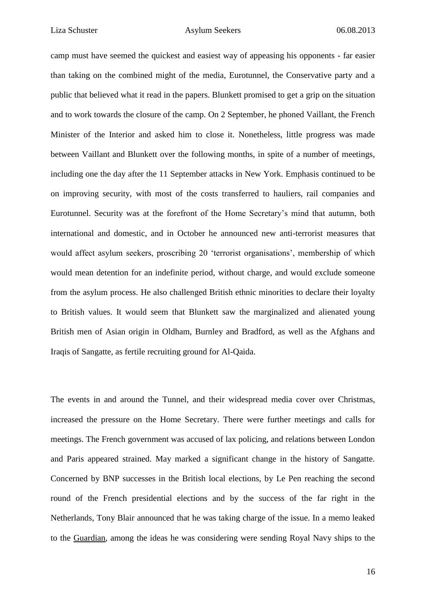camp must have seemed the quickest and easiest way of appeasing his opponents - far easier than taking on the combined might of the media, Eurotunnel, the Conservative party and a public that believed what it read in the papers. Blunkett promised to get a grip on the situation and to work towards the closure of the camp. On 2 September, he phoned Vaillant, the French Minister of the Interior and asked him to close it. Nonetheless, little progress was made between Vaillant and Blunkett over the following months, in spite of a number of meetings, including one the day after the 11 September attacks in New York. Emphasis continued to be on improving security, with most of the costs transferred to hauliers, rail companies and Eurotunnel. Security was at the forefront of the Home Secretary's mind that autumn, both international and domestic, and in October he announced new anti-terrorist measures that would affect asylum seekers, proscribing 20 'terrorist organisations', membership of which would mean detention for an indefinite period, without charge, and would exclude someone from the asylum process. He also challenged British ethnic minorities to declare their loyalty to British values. It would seem that Blunkett saw the marginalized and alienated young British men of Asian origin in Oldham, Burnley and Bradford, as well as the Afghans and Iraqis of Sangatte, as fertile recruiting ground for Al-Qaida.

The events in and around the Tunnel, and their widespread media cover over Christmas, increased the pressure on the Home Secretary. There were further meetings and calls for meetings. The French government was accused of lax policing, and relations between London and Paris appeared strained. May marked a significant change in the history of Sangatte. Concerned by BNP successes in the British local elections, by Le Pen reaching the second round of the French presidential elections and by the success of the far right in the Netherlands, Tony Blair announced that he was taking charge of the issue. In a memo leaked to the Guardian, among the ideas he was considering were sending Royal Navy ships to the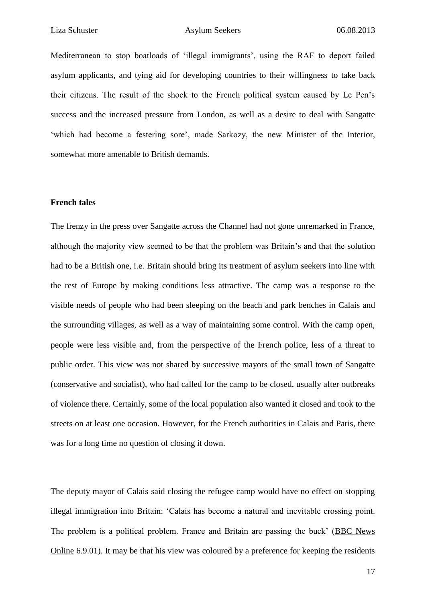Mediterranean to stop boatloads of 'illegal immigrants', using the RAF to deport failed asylum applicants, and tying aid for developing countries to their willingness to take back their citizens. The result of the shock to the French political system caused by Le Pen's success and the increased pressure from London, as well as a desire to deal with Sangatte 'which had become a festering sore', made Sarkozy, the new Minister of the Interior, somewhat more amenable to British demands.

#### **French tales**

The frenzy in the press over Sangatte across the Channel had not gone unremarked in France, although the majority view seemed to be that the problem was Britain's and that the solution had to be a British one, i.e. Britain should bring its treatment of asylum seekers into line with the rest of Europe by making conditions less attractive. The camp was a response to the visible needs of people who had been sleeping on the beach and park benches in Calais and the surrounding villages, as well as a way of maintaining some control. With the camp open, people were less visible and, from the perspective of the French police, less of a threat to public order. This view was not shared by successive mayors of the small town of Sangatte (conservative and socialist), who had called for the camp to be closed, usually after outbreaks of violence there. Certainly, some of the local population also wanted it closed and took to the streets on at least one occasion. However, for the French authorities in Calais and Paris, there was for a long time no question of closing it down.

The deputy mayor of Calais said closing the refugee camp would have no effect on stopping illegal immigration into Britain: 'Calais has become a natural and inevitable crossing point. The problem is a political problem. France and Britain are passing the buck' (BBC News Online 6.9.01). It may be that his view was coloured by a preference for keeping the residents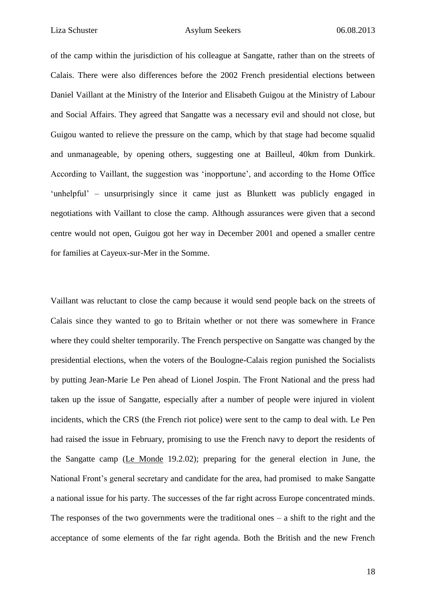of the camp within the jurisdiction of his colleague at Sangatte, rather than on the streets of Calais. There were also differences before the 2002 French presidential elections between Daniel Vaillant at the Ministry of the Interior and Elisabeth Guigou at the Ministry of Labour and Social Affairs. They agreed that Sangatte was a necessary evil and should not close, but Guigou wanted to relieve the pressure on the camp, which by that stage had become squalid and unmanageable, by opening others, suggesting one at Bailleul, 40km from Dunkirk. According to Vaillant, the suggestion was 'inopportune', and according to the Home Office 'unhelpful' – unsurprisingly since it came just as Blunkett was publicly engaged in negotiations with Vaillant to close the camp. Although assurances were given that a second centre would not open, Guigou got her way in December 2001 and opened a smaller centre for families at Cayeux-sur-Mer in the Somme.

Vaillant was reluctant to close the camp because it would send people back on the streets of Calais since they wanted to go to Britain whether or not there was somewhere in France where they could shelter temporarily. The French perspective on Sangatte was changed by the presidential elections, when the voters of the Boulogne-Calais region punished the Socialists by putting Jean-Marie Le Pen ahead of Lionel Jospin. The Front National and the press had taken up the issue of Sangatte, especially after a number of people were injured in violent incidents, which the CRS (the French riot police) were sent to the camp to deal with. Le Pen had raised the issue in February, promising to use the French navy to deport the residents of the Sangatte camp (Le Monde 19.2.02); preparing for the general election in June, the National Front's general secretary and candidate for the area, had promised to make Sangatte a national issue for his party. The successes of the far right across Europe concentrated minds. The responses of the two governments were the traditional ones  $-$  a shift to the right and the acceptance of some elements of the far right agenda. Both the British and the new French

18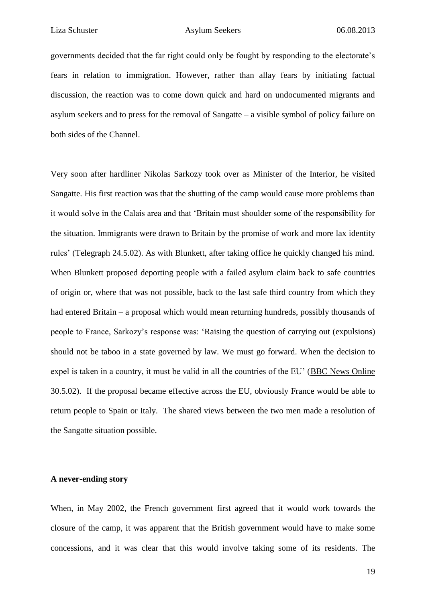governments decided that the far right could only be fought by responding to the electorate's fears in relation to immigration. However, rather than allay fears by initiating factual discussion, the reaction was to come down quick and hard on undocumented migrants and asylum seekers and to press for the removal of Sangatte – a visible symbol of policy failure on both sides of the Channel.

Very soon after hardliner Nikolas Sarkozy took over as Minister of the Interior, he visited Sangatte. His first reaction was that the shutting of the camp would cause more problems than it would solve in the Calais area and that 'Britain must shoulder some of the responsibility for the situation. Immigrants were drawn to Britain by the promise of work and more lax identity rules' (Telegraph 24.5.02). As with Blunkett, after taking office he quickly changed his mind. When Blunkett proposed deporting people with a failed asylum claim back to safe countries of origin or, where that was not possible, back to the last safe third country from which they had entered Britain – a proposal which would mean returning hundreds, possibly thousands of people to France, Sarkozy's response was: 'Raising the question of carrying out (expulsions) should not be taboo in a state governed by law. We must go forward. When the decision to expel is taken in a country, it must be valid in all the countries of the EU' (BBC News Online 30.5.02). If the proposal became effective across the EU, obviously France would be able to return people to Spain or Italy. The shared views between the two men made a resolution of the Sangatte situation possible.

#### **A never-ending story**

When, in May 2002, the French government first agreed that it would work towards the closure of the camp, it was apparent that the British government would have to make some concessions, and it was clear that this would involve taking some of its residents. The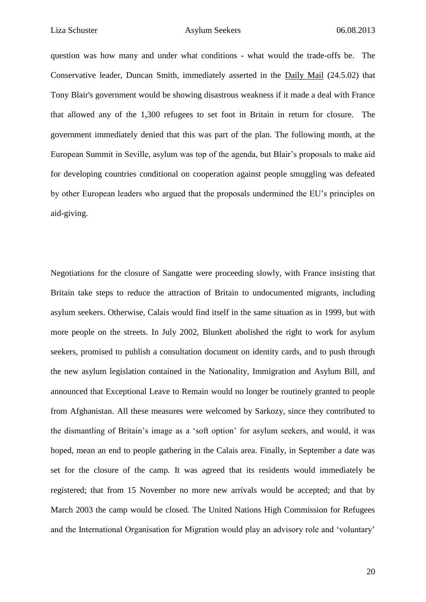question was how many and under what conditions - what would the trade-offs be. The Conservative leader, Duncan Smith, immediately asserted in the Daily Mail (24.5.02) that Tony Blair's government would be showing disastrous weakness if it made a deal with France that allowed any of the 1,300 refugees to set foot in Britain in return for closure. The government immediately denied that this was part of the plan. The following month, at the European Summit in Seville, asylum was top of the agenda, but Blair's proposals to make aid for developing countries conditional on cooperation against people smuggling was defeated by other European leaders who argued that the proposals undermined the EU's principles on aid-giving.

Negotiations for the closure of Sangatte were proceeding slowly, with France insisting that Britain take steps to reduce the attraction of Britain to undocumented migrants, including asylum seekers. Otherwise, Calais would find itself in the same situation as in 1999, but with more people on the streets. In July 2002, Blunkett abolished the right to work for asylum seekers, promised to publish a consultation document on identity cards, and to push through the new asylum legislation contained in the Nationality, Immigration and Asylum Bill, and announced that Exceptional Leave to Remain would no longer be routinely granted to people from Afghanistan. All these measures were welcomed by Sarkozy, since they contributed to the dismantling of Britain's image as a 'soft option' for asylum seekers, and would, it was hoped, mean an end to people gathering in the Calais area. Finally, in September a date was set for the closure of the camp. It was agreed that its residents would immediately be registered; that from 15 November no more new arrivals would be accepted; and that by March 2003 the camp would be closed. The United Nations High Commission for Refugees and the International Organisation for Migration would play an advisory role and 'voluntary'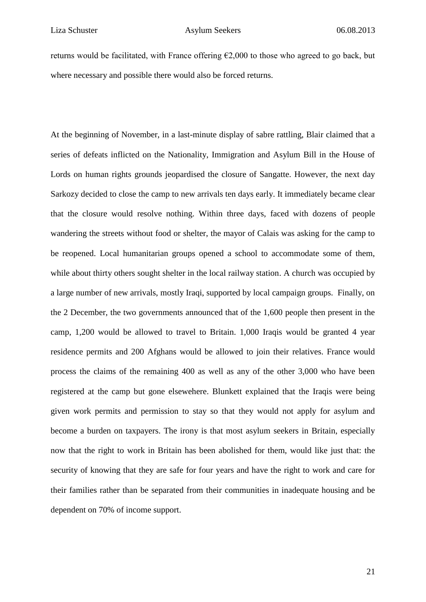returns would be facilitated, with France offering  $\epsilon$ 2,000 to those who agreed to go back, but where necessary and possible there would also be forced returns.

At the beginning of November, in a last-minute display of sabre rattling, Blair claimed that a series of defeats inflicted on the Nationality, Immigration and Asylum Bill in the House of Lords on human rights grounds jeopardised the closure of Sangatte. However, the next day Sarkozy decided to close the camp to new arrivals ten days early. It immediately became clear that the closure would resolve nothing. Within three days, faced with dozens of people wandering the streets without food or shelter, the mayor of Calais was asking for the camp to be reopened. Local humanitarian groups opened a school to accommodate some of them, while about thirty others sought shelter in the local railway station. A church was occupied by a large number of new arrivals, mostly Iraqi, supported by local campaign groups. Finally, on the 2 December, the two governments announced that of the 1,600 people then present in the camp, 1,200 would be allowed to travel to Britain. 1,000 Iraqis would be granted 4 year residence permits and 200 Afghans would be allowed to join their relatives. France would process the claims of the remaining 400 as well as any of the other 3,000 who have been registered at the camp but gone elsewehere. Blunkett explained that the Iraqis were being given work permits and permission to stay so that they would not apply for asylum and become a burden on taxpayers. The irony is that most asylum seekers in Britain, especially now that the right to work in Britain has been abolished for them, would like just that: the security of knowing that they are safe for four years and have the right to work and care for their families rather than be separated from their communities in inadequate housing and be dependent on 70% of income support.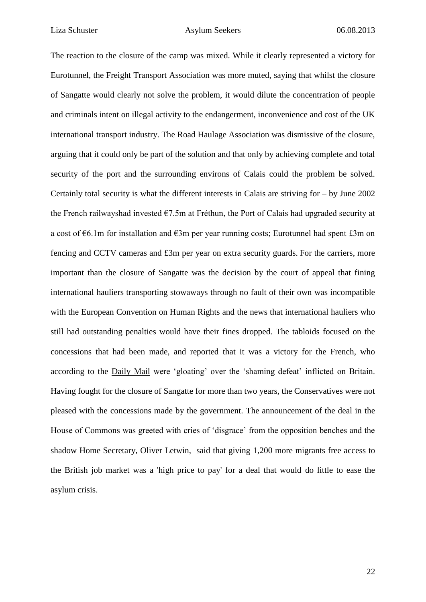The reaction to the closure of the camp was mixed. While it clearly represented a victory for Eurotunnel, the Freight Transport Association was more muted, saying that whilst the closure of Sangatte would clearly not solve the problem, it would dilute the concentration of people and criminals intent on illegal activity to the endangerment, inconvenience and cost of the UK international transport industry. The Road Haulage Association was dismissive of the closure, arguing that it could only be part of the solution and that only by achieving complete and total security of the port and the surrounding environs of Calais could the problem be solved. Certainly total security is what the different interests in Calais are striving for – by June 2002 the French railwayshad invested €7.5m at Fréthun, the Port of Calais had upgraded security at a cost of €6.1m for installation and €3m per year running costs; Eurotunnel had spent £3m on fencing and CCTV cameras and £3m per year on extra security guards. For the carriers, more important than the closure of Sangatte was the decision by the court of appeal that fining international hauliers transporting stowaways through no fault of their own was incompatible with the European Convention on Human Rights and the news that international hauliers who still had outstanding penalties would have their fines dropped. The tabloids focused on the concessions that had been made, and reported that it was a victory for the French, who according to the Daily Mail were 'gloating' over the 'shaming defeat' inflicted on Britain. Having fought for the closure of Sangatte for more than two years, the Conservatives were not pleased with the concessions made by the government. The announcement of the deal in the House of Commons was greeted with cries of 'disgrace' from the opposition benches and the shadow Home Secretary, Oliver Letwin, said that giving 1,200 more migrants free access to the British job market was a 'high price to pay' for a deal that would do little to ease the asylum crisis.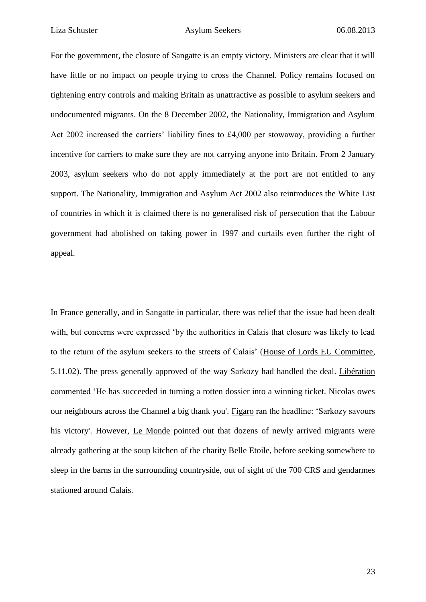For the government, the closure of Sangatte is an empty victory. Ministers are clear that it will have little or no impact on people trying to cross the Channel. Policy remains focused on tightening entry controls and making Britain as unattractive as possible to asylum seekers and undocumented migrants. On the 8 December 2002, the Nationality, Immigration and Asylum Act 2002 increased the carriers' liability fines to £4,000 per stowaway, providing a further incentive for carriers to make sure they are not carrying anyone into Britain. From 2 January 2003, asylum seekers who do not apply immediately at the port are not entitled to any support. The Nationality, Immigration and Asylum Act 2002 also reintroduces the White List of countries in which it is claimed there is no generalised risk of persecution that the Labour government had abolished on taking power in 1997 and curtails even further the right of appeal.

In France generally, and in Sangatte in particular, there was relief that the issue had been dealt with, but concerns were expressed 'by the authorities in Calais that closure was likely to lead to the return of the asylum seekers to the streets of Calais' (House of Lords EU Committee, 5.11.02). The press generally approved of the way Sarkozy had handled the deal. Libération commented 'He has succeeded in turning a rotten dossier into a winning ticket. Nicolas owes our neighbours across the Channel a big thank you'. Figaro ran the headline: 'Sarkozy savours his victory'. However, Le Monde pointed out that dozens of newly arrived migrants were already gathering at the soup kitchen of the charity Belle Etoile, before seeking somewhere to sleep in the barns in the surrounding countryside, out of sight of the 700 CRS and gendarmes stationed around Calais.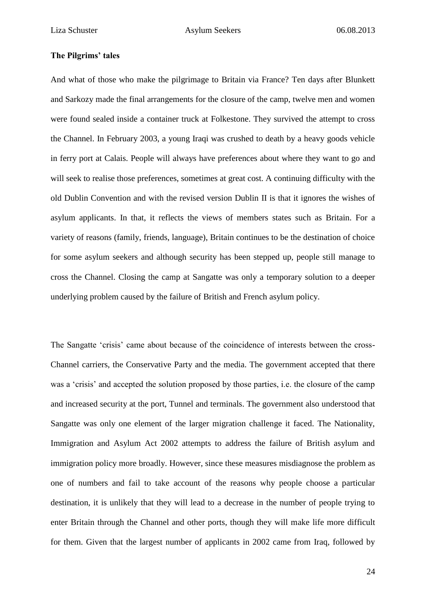#### **The Pilgrims' tales**

And what of those who make the pilgrimage to Britain via France? Ten days after Blunkett and Sarkozy made the final arrangements for the closure of the camp, twelve men and women were found sealed inside a container truck at Folkestone. They survived the attempt to cross the Channel. In February 2003, a young Iraqi was crushed to death by a heavy goods vehicle in ferry port at Calais. People will always have preferences about where they want to go and will seek to realise those preferences, sometimes at great cost. A continuing difficulty with the old Dublin Convention and with the revised version Dublin II is that it ignores the wishes of asylum applicants. In that, it reflects the views of members states such as Britain. For a variety of reasons (family, friends, language), Britain continues to be the destination of choice for some asylum seekers and although security has been stepped up, people still manage to cross the Channel. Closing the camp at Sangatte was only a temporary solution to a deeper underlying problem caused by the failure of British and French asylum policy.

The Sangatte 'crisis' came about because of the coincidence of interests between the cross-Channel carriers, the Conservative Party and the media. The government accepted that there was a 'crisis' and accepted the solution proposed by those parties, i.e. the closure of the camp and increased security at the port, Tunnel and terminals. The government also understood that Sangatte was only one element of the larger migration challenge it faced. The Nationality, Immigration and Asylum Act 2002 attempts to address the failure of British asylum and immigration policy more broadly. However, since these measures misdiagnose the problem as one of numbers and fail to take account of the reasons why people choose a particular destination, it is unlikely that they will lead to a decrease in the number of people trying to enter Britain through the Channel and other ports, though they will make life more difficult for them. Given that the largest number of applicants in 2002 came from Iraq, followed by